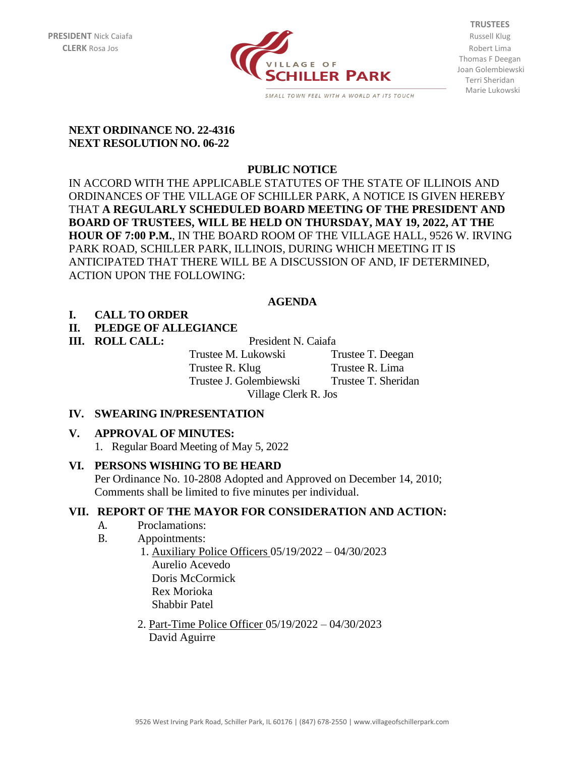

**TRUSTEES** Thomas F Deegan Joan Golembiewski Terri Sheridan Marie Lukowski

#### **NEXT ORDINANCE NO. 22-4316 NEXT RESOLUTION NO. 06-22**

# **PUBLIC NOTICE**

IN ACCORD WITH THE APPLICABLE STATUTES OF THE STATE OF ILLINOIS AND ORDINANCES OF THE VILLAGE OF SCHILLER PARK, A NOTICE IS GIVEN HEREBY THAT **A REGULARLY SCHEDULED BOARD MEETING OF THE PRESIDENT AND BOARD OF TRUSTEES, WILL BE HELD ON THURSDAY, MAY 19, 2022, AT THE HOUR OF 7:00 P.M.**, IN THE BOARD ROOM OF THE VILLAGE HALL, 9526 W. IRVING PARK ROAD, SCHILLER PARK, ILLINOIS, DURING WHICH MEETING IT IS ANTICIPATED THAT THERE WILL BE A DISCUSSION OF AND, IF DETERMINED, ACTION UPON THE FOLLOWING:

# **AGENDA**

# **I. CALL TO ORDER**

# **II. PLEDGE OF ALLEGIANCE**

**III. ROLL CALL:** President N. Caiafa Trustee M. Lukowski Trustee T. Deegan Trustee R. Klug Trustee R. Lima Trustee J. Golembiewski Trustee T. Sheridan Village Clerk R. Jos

## **IV. SWEARING IN/PRESENTATION**

## **V. APPROVAL OF MINUTES:**

1. Regular Board Meeting of May 5, 2022

## **VI. PERSONS WISHING TO BE HEARD**

Per Ordinance No. 10-2808 Adopted and Approved on December 14, 2010; Comments shall be limited to five minutes per individual.

## **VII. REPORT OF THE MAYOR FOR CONSIDERATION AND ACTION:**

- A. Proclamations:
- B. Appointments:
	- 1. Auxiliary Police Officers 05/19/2022 04/30/2023 Aurelio Acevedo Doris McCormick Rex Morioka Shabbir Patel
		- 2. Part-Time Police Officer 05/19/2022 04/30/2023 David Aguirre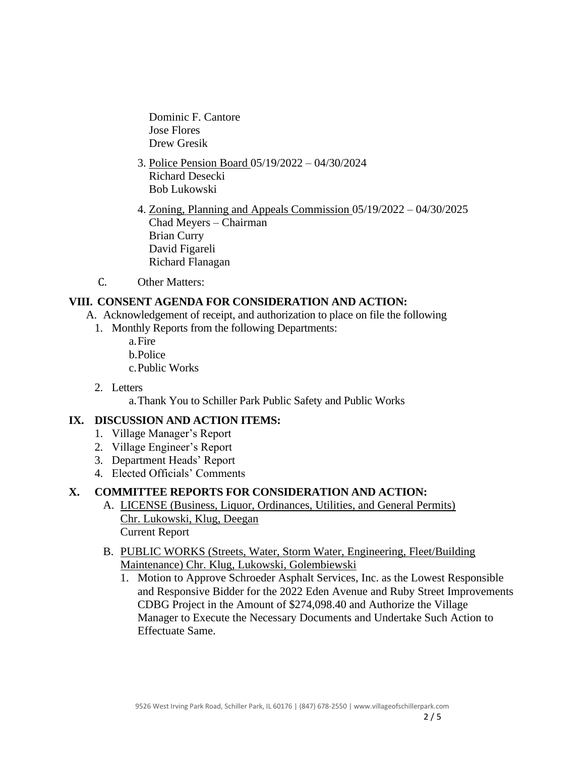Dominic F. Cantore Jose Flores Drew Gresik

- 3. Police Pension Board 05/19/2022 04/30/2024 Richard Desecki Bob Lukowski
- 4. Zoning, Planning and Appeals Commission 05/19/2022 04/30/2025 Chad Meyers – Chairman Brian Curry David Figareli Richard Flanagan
- C. Other Matters:

## **VIII. CONSENT AGENDA FOR CONSIDERATION AND ACTION:**

- A. Acknowledgement of receipt, and authorization to place on file the following
	- 1. Monthly Reports from the following Departments:
		- a.Fire b.Police c.Public Works
	- 2. Letters

a.Thank You to Schiller Park Public Safety and Public Works

# **IX. DISCUSSION AND ACTION ITEMS:**

- 1. Village Manager's Report
- 2. Village Engineer's Report
- 3. Department Heads' Report
- 4. Elected Officials' Comments

## **X. COMMITTEE REPORTS FOR CONSIDERATION AND ACTION:**

- A. LICENSE (Business, Liquor, Ordinances, Utilities, and General Permits) Chr. Lukowski, Klug, Deegan Current Report
- B. PUBLIC WORKS (Streets, Water, Storm Water, Engineering, Fleet/Building Maintenance) Chr. Klug, Lukowski, Golembiewski
	- 1. Motion to Approve Schroeder Asphalt Services, Inc. as the Lowest Responsible and Responsive Bidder for the 2022 Eden Avenue and Ruby Street Improvements CDBG Project in the Amount of \$274,098.40 and Authorize the Village Manager to Execute the Necessary Documents and Undertake Such Action to Effectuate Same.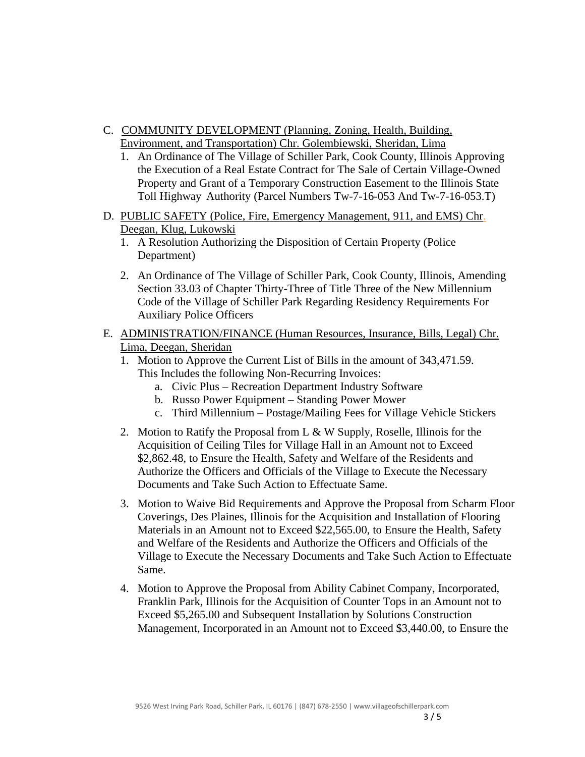- C. COMMUNITY DEVELOPMENT (Planning, Zoning, Health, Building, Environment, and Transportation) Chr. Golembiewski, Sheridan, Lima
	- 1. An Ordinance of The Village of Schiller Park, Cook County, Illinois Approving the Execution of a Real Estate Contract for The Sale of Certain Village-Owned Property and Grant of a Temporary Construction Easement to the Illinois State Toll Highway Authority (Parcel Numbers Tw-7-16-053 And Tw-7-16-053.T)
- D. PUBLIC SAFETY (Police, Fire, Emergency Management, 911, and EMS) Chr. Deegan, Klug, Lukowski
	- 1. A Resolution Authorizing the Disposition of Certain Property (Police Department)
	- 2. An Ordinance of The Village of Schiller Park, Cook County, Illinois, Amending Section 33.03 of Chapter Thirty-Three of Title Three of the New Millennium Code of the Village of Schiller Park Regarding Residency Requirements For Auxiliary Police Officers
- E. ADMINISTRATION/FINANCE (Human Resources, Insurance, Bills, Legal) Chr. Lima, Deegan, Sheridan
	- 1. Motion to Approve the Current List of Bills in the amount of 343,471.59. This Includes the following Non-Recurring Invoices:
		- a. Civic Plus Recreation Department Industry Software
		- b. Russo Power Equipment Standing Power Mower
		- c. Third Millennium Postage/Mailing Fees for Village Vehicle Stickers
	- 2. Motion to Ratify the Proposal from  $L \& W$  Supply, Roselle, Illinois for the Acquisition of Ceiling Tiles for Village Hall in an Amount not to Exceed \$2,862.48, to Ensure the Health, Safety and Welfare of the Residents and Authorize the Officers and Officials of the Village to Execute the Necessary Documents and Take Such Action to Effectuate Same.
	- 3. Motion to Waive Bid Requirements and Approve the Proposal from Scharm Floor Coverings, Des Plaines, Illinois for the Acquisition and Installation of Flooring Materials in an Amount not to Exceed \$22,565.00, to Ensure the Health, Safety and Welfare of the Residents and Authorize the Officers and Officials of the Village to Execute the Necessary Documents and Take Such Action to Effectuate Same.
	- 4. Motion to Approve the Proposal from Ability Cabinet Company, Incorporated, Franklin Park, Illinois for the Acquisition of Counter Tops in an Amount not to Exceed \$5,265.00 and Subsequent Installation by Solutions Construction Management, Incorporated in an Amount not to Exceed \$3,440.00, to Ensure the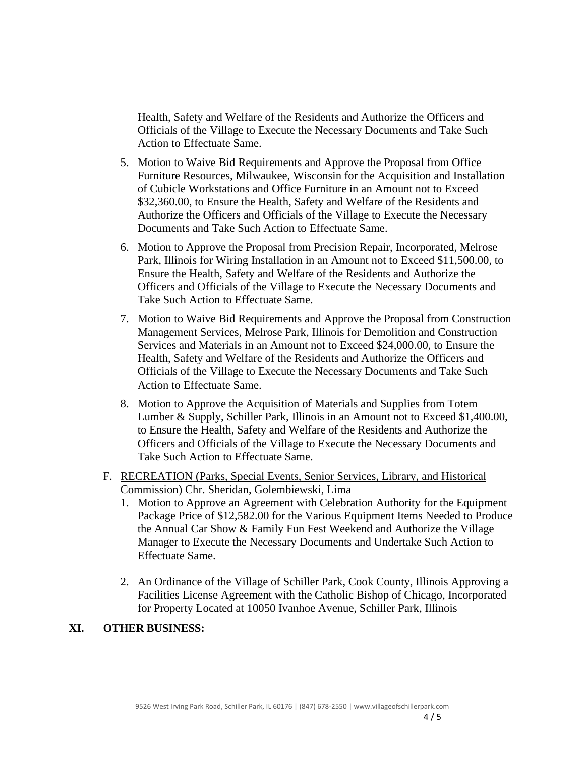Health, Safety and Welfare of the Residents and Authorize the Officers and Officials of the Village to Execute the Necessary Documents and Take Such Action to Effectuate Same.

- 5. Motion to Waive Bid Requirements and Approve the Proposal from Office Furniture Resources, Milwaukee, Wisconsin for the Acquisition and Installation of Cubicle Workstations and Office Furniture in an Amount not to Exceed \$32,360.00, to Ensure the Health, Safety and Welfare of the Residents and Authorize the Officers and Officials of the Village to Execute the Necessary Documents and Take Such Action to Effectuate Same.
- 6. Motion to Approve the Proposal from Precision Repair, Incorporated, Melrose Park, Illinois for Wiring Installation in an Amount not to Exceed \$11,500.00, to Ensure the Health, Safety and Welfare of the Residents and Authorize the Officers and Officials of the Village to Execute the Necessary Documents and Take Such Action to Effectuate Same.
- 7. Motion to Waive Bid Requirements and Approve the Proposal from Construction Management Services, Melrose Park, Illinois for Demolition and Construction Services and Materials in an Amount not to Exceed \$24,000.00, to Ensure the Health, Safety and Welfare of the Residents and Authorize the Officers and Officials of the Village to Execute the Necessary Documents and Take Such Action to Effectuate Same.
- 8. Motion to Approve the Acquisition of Materials and Supplies from Totem Lumber & Supply, Schiller Park, Illinois in an Amount not to Exceed \$1,400.00, to Ensure the Health, Safety and Welfare of the Residents and Authorize the Officers and Officials of the Village to Execute the Necessary Documents and Take Such Action to Effectuate Same.
- F. RECREATION (Parks, Special Events, Senior Services, Library, and Historical Commission) Chr. Sheridan, Golembiewski, Lima
	- 1. Motion to Approve an Agreement with Celebration Authority for the Equipment Package Price of \$12,582.00 for the Various Equipment Items Needed to Produce the Annual Car Show & Family Fun Fest Weekend and Authorize the Village Manager to Execute the Necessary Documents and Undertake Such Action to Effectuate Same.
	- 2. An Ordinance of the Village of Schiller Park, Cook County, Illinois Approving a Facilities License Agreement with the Catholic Bishop of Chicago, Incorporated for Property Located at 10050 Ivanhoe Avenue, Schiller Park, Illinois

#### **XI. OTHER BUSINESS:**